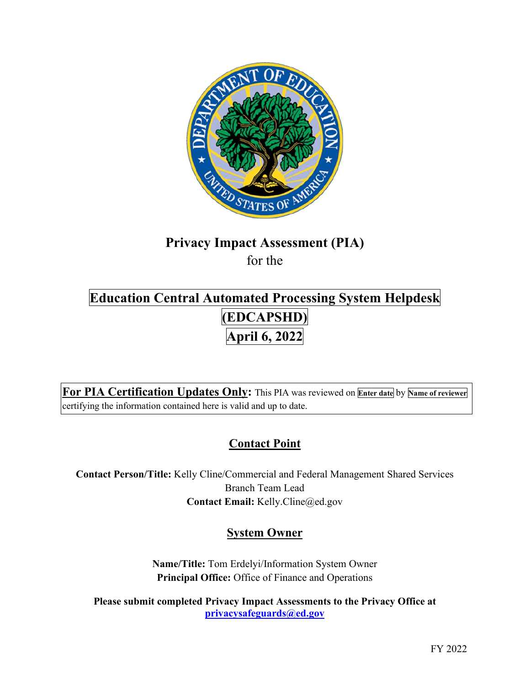

# **Privacy Impact Assessment (PIA)**

for the

## **Education Central Automated Processing System Helpdesk (EDCAPSHD) April 6, 2022**

 **For PIA Certification Updates Only:** This PIA was reviewed on **Enter date** by **Name of reviewer**  certifying the information contained here is valid and up to date.

## **Contact Point**

**Contact Person/Title:** Kelly Cline/Commercial and Federal Management Shared Services Branch Team Lead **Contact Email:** [Kelly.Cline@ed.gov](mailto:Kelly.Cline@ed.gov)

## **System Owner**

**Name/Title:** Tom Erdelyi/Information System Owner **Principal Office:** Office of Finance and Operations

**Please submit completed Privacy Impact Assessments to the Privacy Office at [privacysafeguards@ed.gov](mailto:privacysafeguards@ed.gov)**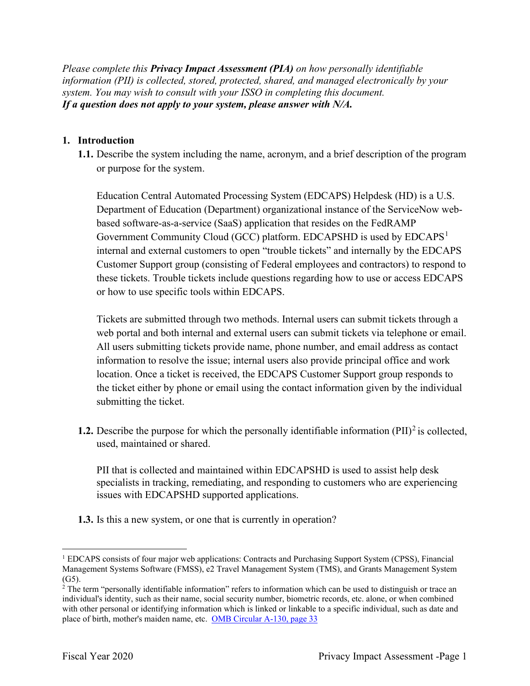*Please complete this Privacy Impact Assessment (PIA) on how personally identifiable information (PII) is collected, stored, protected, shared, and managed electronically by your system. You may wish to consult with your ISSO in completing this document. If a question does not apply to your system, please answer with N/A.* 

#### **1. Introduction**

**1.1.** Describe the system including the name, acronym, and a brief description of the program or purpose for the system.

Education Central Automated Processing System (EDCAPS) Helpdesk (HD) is a U.S. Department of Education (Department) organizational instance of the ServiceNow webbased software-as-a-service (SaaS) application that resides on the FedRAMP Government Community Cloud (GCC) platform. EDCAPSHD is used by  $EDCAPS<sup>1</sup>$ internal and external customers to open "trouble tickets" and internally by the EDCAPS Customer Support group (consisting of Federal employees and contractors) to respond to these tickets. Trouble tickets include questions regarding how to use or access EDCAPS or how to use specific tools within EDCAPS.

Tickets are submitted through two methods. Internal users can submit tickets through a web portal and both internal and external users can submit tickets via telephone or email. All users submitting tickets provide name, phone number, and email address as contact information to resolve the issue; internal users also provide principal office and work location. Once a ticket is received, the EDCAPS Customer Support group responds to the ticket either by phone or email using the contact information given by the individual submitting the ticket.

**1.2.** Describe the purpose for which the personally identifiable information  $(PII)^2$  is collected, used, maintained or shared.

 PII that is collected and maintained within EDCAPSHD is used to assist help desk specialists in tracking, remediating, and responding to customers who are experiencing issues with EDCAPSHD supported applications.

**1.3.** Is this a new system, or one that is currently in operation?

<sup>&</sup>lt;sup>1</sup> EDCAPS consists of four major web applications: Contracts and Purchasing Support System (CPSS), Financial Management Systems Software (FMSS), e2 Travel Management System (TMS), and Grants Management System

place of birth, mother's maiden name, etc. OMB Circular A-130, page 33 (G5).  $\frac{2}{1}$  The term "personally identifiable information" refers to information which can be used to distinguish or trace an individual's identity, such as their name, social security number, biometric records, etc. alone, or when combined with other personal or identifying information which is linked or linkable to a specific individual, such as date and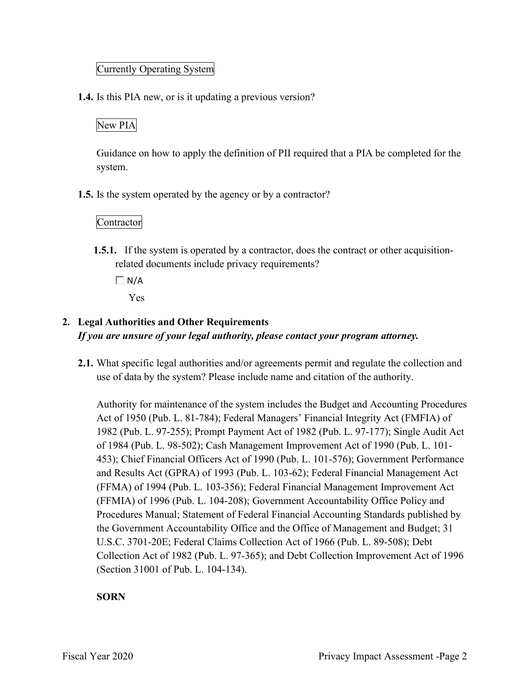#### Currently Operating System

**1.4.** Is this PIA new, or is it updating a previous version?

### New PIA

Guidance on how to apply the definition of PII required that a PIA be completed for the system.

**1.5.** Is the system operated by the agency or by a contractor?

Contractor

**1.5.1.** If the system is operated by a contractor, does the contract or other acquisitionrelated documents include privacy requirements?

 $\Box N/A$ 

Yes

### **2. Legal Authorities and Other Requirements**  *If you are unsure of your legal authority, please contact your program attorney.*

 **2.1.** What specific legal authorities and/or agreements permit and regulate the collection and use of data by the system? Please include name and citation of the authority.

 Act of 1950 (Pub. L. 81-784); Federal Managers' Financial Integrity Act (FMFIA) of Authority for maintenance of the system includes the Budget and Accounting Procedures 1982 (Pub. L. 97-255); Prompt Payment Act of 1982 (Pub. L. 97-177); Single Audit Act of 1984 (Pub. L. 98-502); Cash Management Improvement Act of 1990 (Pub. L. 101- 453); Chief Financial Officers Act of 1990 (Pub. L. 101-576); Government Performance and Results Act (GPRA) of 1993 (Pub. L. 103-62); Federal Financial Management Act (FFMA) of 1994 (Pub. L. 103-356); Federal Financial Management Improvement Act (FFMIA) of 1996 (Pub. L. 104-208); Government Accountability Office Policy and Procedures Manual; Statement of Federal Financial Accounting Standards published by the Government Accountability Office and the Office of Management and Budget; 31 U.S.C. 3701-20E; Federal Claims Collection Act of 1966 (Pub. L. 89-508); Debt Collection Act of 1982 (Pub. L. 97-365); and Debt Collection Improvement Act of 1996 (Section 31001 of Pub. L. 104-134).

#### **SORN**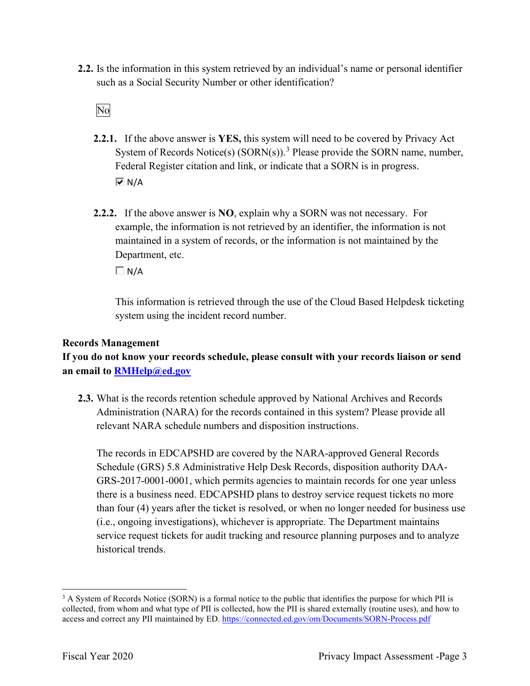such as a Social Security Number or other identification?<br>No **2.2.** Is the information in this system retrieved by an individual's name or personal identifier

- **2.2.1.** If the above answer is **YES,** this system will need to be covered by Privacy Act System of Records Notice(s)  $(SORN(s))$ .<sup>3</sup> Please provide the SORN name, number, Federal Register citation and link, or indicate that a SORN is in progress.  $\overline{M}$  N/A
- **2.2.2.** If the above answer is **NO**, explain why a SORN was not necessary. For Department, etc. example, the information is not retrieved by an identifier, the information is not maintained in a system of records, or the information is not maintained by the

 $\Box$  N/A

This information is retrieved through the use of the Cloud Based Helpdesk ticketing system using the incident record number.

#### **Records Management**

**If you do not know your records schedule, please consult with your records liaison or send an email to [RMHelp@ed.gov](mailto:RMHelp@ed.gov)** 

 **2.3.** What is the records retention schedule approved by National Archives and Records Administration (NARA) for the records contained in this system? Please provide all relevant NARA schedule numbers and disposition instructions.

 The records in EDCAPSHD are covered by the NARA-approved General Records GRS-2017-0001-0001, which permits agencies to maintain records for one year unless (i.e., ongoing investigations), whichever is appropriate. The Department maintains Schedule (GRS) 5.8 Administrative Help Desk Records, disposition authority DAAthere is a business need. EDCAPSHD plans to destroy service request tickets no more than four (4) years after the ticket is resolved, or when no longer needed for business use service request tickets for audit tracking and resource planning purposes and to analyze historical trends.

access and correct any PII maintained by ED. https://connected.ed.gov/om/Documents/SORN-Process.pdf<br>Fiscal Year 2020 Privacy Impact Assessment -Page 3 <sup>3</sup> A System of Records Notice (SORN) is a formal notice to the public that identifies the purpose for which PII is collected, from whom and what type of PII is collected, how the PII is shared externally (routine uses), and how to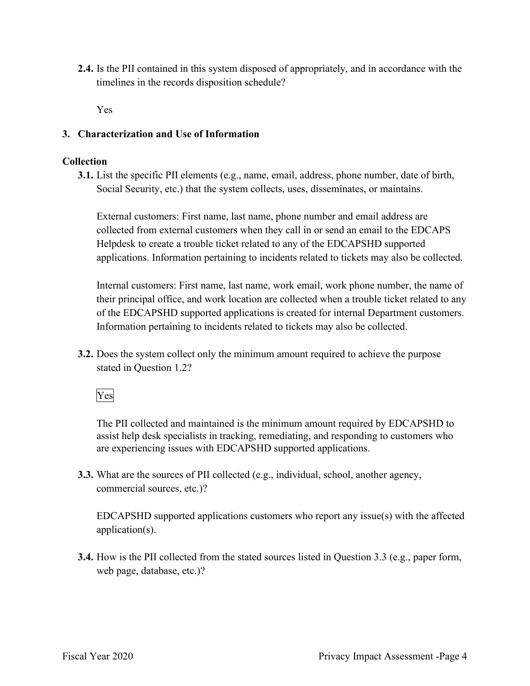**2.4.** Is the PII contained in this system disposed of appropriately, and in accordance with the timelines in the records disposition schedule?

Yes

#### **3. Characterization and Use of Information**

#### **Collection**

**3.1.** List the specific PII elements (e.g., name, email, address, phone number, date of birth, Social Security, etc.) that the system collects, uses, disseminates, or maintains.

External customers: First name, last name, phone number and email address are collected from external customers when they call in or send an email to the EDCAPS Helpdesk to create a trouble ticket related to any of the EDCAPSHD supported applications. Information pertaining to incidents related to tickets may also be collected.

Internal customers: First name, last name, work email, work phone number, the name of their principal office, and work location are collected when a trouble ticket related to any of the EDCAPSHD supported applications is created for internal Department customers. Information pertaining to incidents related to tickets may also be collected.

stated in Question 1.2?<br>Yes **3.2.** Does the system collect only the minimum amount required to achieve the purpose

The PII collected and maintained is the minimum amount required by EDCAPSHD to assist help desk specialists in tracking, remediating, and responding to customers who are experiencing issues with EDCAPSHD supported applications.

**3.3.** What are the sources of PII collected (e.g., individual, school, another agency, commercial sources, etc.)?

EDCAPSHD supported applications customers who report any issue(s) with the affected application(s).

**3.4.** How is the PII collected from the stated sources listed in Question 3.3 (e.g., paper form, web page, database, etc.)?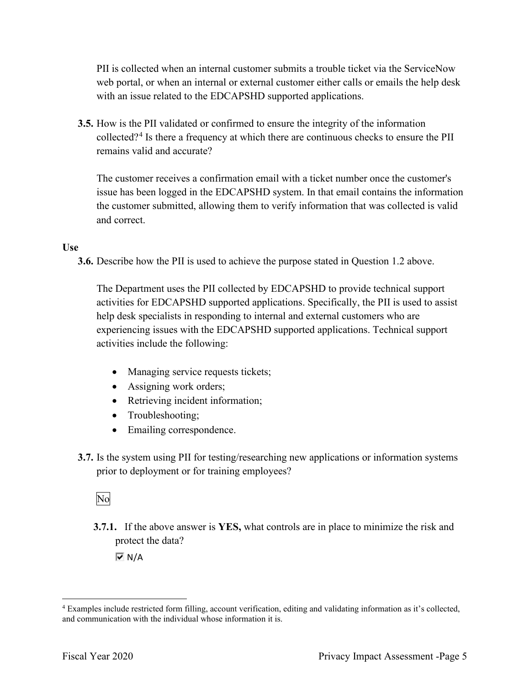web portal, or when an internal or external customer either calls or emails the help desk PII is collected when an internal customer submits a trouble ticket via the ServiceNow with an issue related to the EDCAPSHD supported applications.

**3.5.** How is the PII validated or confirmed to ensure the integrity of the information collected?<sup>4</sup> Is there a frequency at which there are continuous checks to ensure the PII remains valid and accurate?

The customer receives a confirmation email with a ticket number once the customer's issue has been logged in the EDCAPSHD system. In that email contains the information the customer submitted, allowing them to verify information that was collected is valid and correct.

#### **Use**

**3.6.** Describe how the PII is used to achieve the purpose stated in Question 1.2 above.

 The Department uses the PII collected by EDCAPSHD to provide technical support activities for EDCAPSHD supported applications. Specifically, the PII is used to assist help desk specialists in responding to internal and external customers who are experiencing issues with the EDCAPSHD supported applications. Technical support activities include the following:

- Managing service requests tickets;
- Assigning work orders;
- Retrieving incident information;
- Troubleshooting;
- Emailing correspondence.
- prior to deployment or for training employees?<br>No **3.7.** Is the system using PII for testing/researching new applications or information systems

**3.7.1.** If the above answer is **YES,** what controls are in place to minimize the risk and protect the data?

 $\overline{M}$  N/A

and communication with the individual whose information it is. 4 Examples include restricted form filling, account verification, editing and validating information as it's collected, and communication with the individual whose information it is.<br>Fiscal Year 2020 Privacy Impact Assessment -Page 5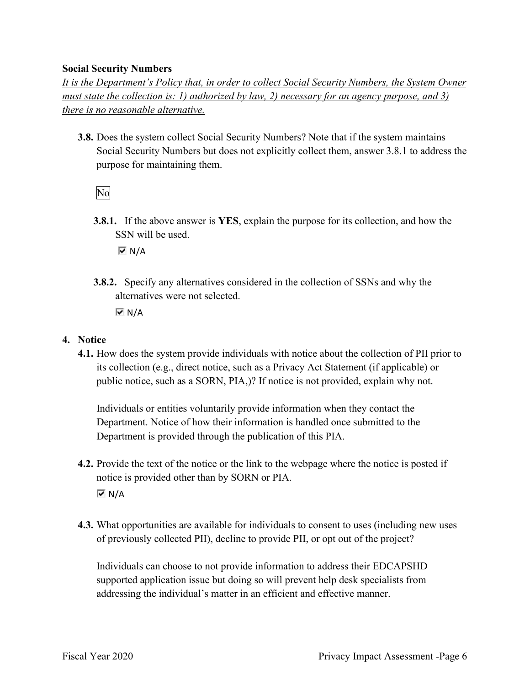#### **Social Security Numbers**

*It is the Department's Policy that, in order to collect Social Security Numbers, the System Owner must state the collection is: 1) authorized by law, 2) necessary for an agency purpose, and 3) there is no reasonable alternative.* 

 **3.8.** Does the system collect Social Security Numbers? Note that if the system maintains Social Security Numbers but does not explicitly collect them, answer 3.8.1 to address the purpose for maintaining them.

No

**3.8.1.** If the above answer is **YES**, explain the purpose for its collection, and how the SSN will be used.

N/A

**3.8.2.** Specify any alternatives considered in the collection of SSNs and why the alternatives were not selected.

 $\overline{M}$  N/A

#### **4. Notice**

 public notice, such as a SORN, PIA,)? If notice is not provided, explain why not. **4.1.** How does the system provide individuals with notice about the collection of PII prior to its collection (e.g., direct notice, such as a Privacy Act Statement (if applicable) or

Individuals or entities voluntarily provide information when they contact the Department. Notice of how their information is handled once submitted to the Department is provided through the publication of this PIA.

- **4.2.** Provide the text of the notice or the link to the webpage where the notice is posted if notice is provided other than by SORN or PIA.  $\overline{M}$  N/A
- **4.3.** What opportunities are available for individuals to consent to uses (including new uses of previously collected PII), decline to provide PII, or opt out of the project?

Individuals can choose to not provide information to address their EDCAPSHD supported application issue but doing so will prevent help desk specialists from addressing the individual's matter in an efficient and effective manner.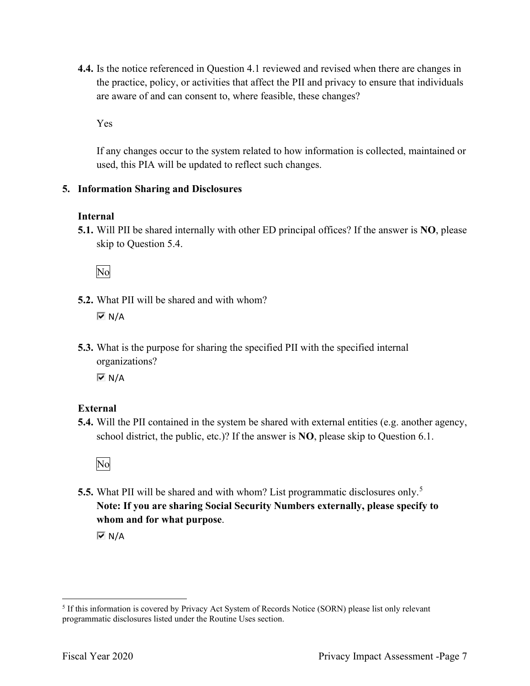are aware of and can consent to, where feasible, these changes? **4.4.** Is the notice referenced in Question 4.1 reviewed and revised when there are changes in the practice, policy, or activities that affect the PII and privacy to ensure that individuals

Yes

If any changes occur to the system related to how information is collected, maintained or used, this PIA will be updated to reflect such changes.

#### **5. Information Sharing and Disclosures**

#### **Internal**

 **5.1.** Will PII be shared internally with other ED principal offices? If the answer is **NO**, please skip to Question 5.4.

No

- **5.2.** What PII will be shared and with whom?  $\overline{M}$  N/A
- organizations? **5.3.** What is the purpose for sharing the specified PII with the specified internal

 $\overline{M}$  N/A

#### **External**

**5.4.** Will the PII contained in the system be shared with external entities (e.g. another agency, school district, the public, etc.)? If the answer is **NO**, please skip to Question 6.1.

No

**5.5.** What PII will be shared and with whom? List programmatic disclosures only.<sup>5</sup> **Note: If you are sharing Social Security Numbers externally, please specify to whom and for what purpose**.

 $\overline{M}$  N/A

<sup>&</sup>lt;sup>5</sup> If this information is covered by Privacy Act System of Records Notice (SORN) please list only relevant programmatic disclosures listed under the Routine Uses section.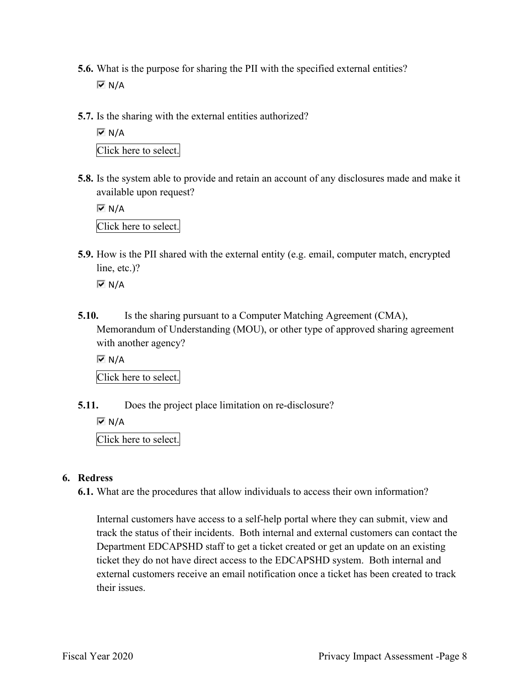- **5.6.** What is the purpose for sharing the PII with the specified external entities?  $\overline{M}$  N/A
- **5.7.** Is the sharing with the external entities authorized?

 Click here to select.  $\overline{M}$  N/A

**5.8.** Is the system able to provide and retain an account of any disclosures made and make it available upon request?

 Click here to select.  $\overline{M}$  N/A

 **5.9.** How is the PII shared with the external entity (e.g. email, computer match, encrypted line, etc.)?

 $\overline{M}$  N/A

**5.10.** Is the sharing pursuant to a Computer Matching Agreement (CMA), Memorandum of Understanding (MOU), or other type of approved sharing agreement with another agency?

 $\overline{M}$  N/A

Click here to select.

**5.11.** Does the project place limitation on re-disclosure?

 $\overline{M}$  N/A

Click here to select.

#### **6. Redress**

**6.1.** What are the procedures that allow individuals to access their own information?

Internal customers have access to a self-help portal where they can submit, view and track the status of their incidents. Both internal and external customers can contact the Department EDCAPSHD staff to get a ticket created or get an update on an existing ticket they do not have direct access to the EDCAPSHD system. Both internal and external customers receive an email notification once a ticket has been created to track their issues.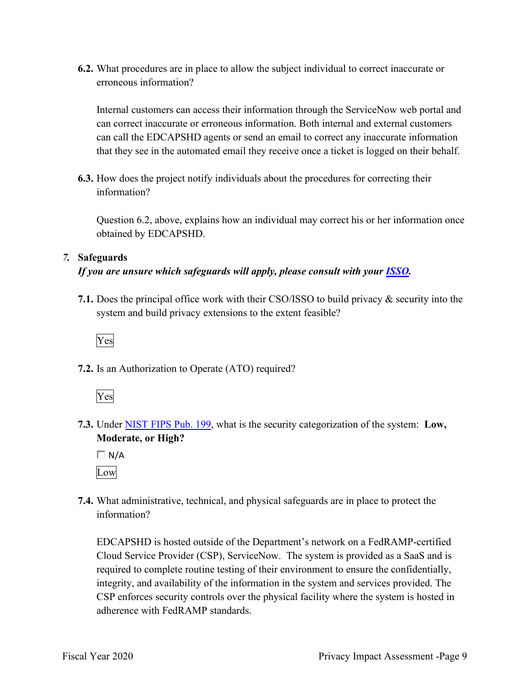**6.2.** What procedures are in place to allow the subject individual to correct inaccurate or erroneous information?

 that they see in the automated email they receive once a ticket is logged on their behalf. Internal customers can access their information through the ServiceNow web portal and can correct inaccurate or erroneous information. Both internal and external customers can call the EDCAPSHD agents or send an email to correct any inaccurate information

**6.3.** How does the project notify individuals about the procedures for correcting their information?

Question 6.2, above, explains how an individual may correct his or her information once obtained by EDCAPSHD.

#### *7.* **Safeguards**

#### *If you are unsure which safeguards will apply, please consult with your ISSO.*

 system and build privacy extensions to the extent feasible? **7.1.** Does the principal office work with their CSO/ISSO to build privacy & security into the

Yes

**7.2.** Is an Authorization to Operate (ATO) required?



**7.3.** Under NIST FIPS Pub. 199, what is the security categorization of the system: **Low, Moderate, or High?** 

 $\Box$  N/A Low

**7.4.** What administrative, technical, and physical safeguards are in place to protect the information?

adherence with FedRAMP standards. EDCAPSHD is hosted outside of the Department's network on a FedRAMP-certified Cloud Service Provider (CSP), ServiceNow. The system is provided as a SaaS and is required to complete routine testing of their environment to ensure the confidentially, integrity, and availability of the information in the system and services provided. The CSP enforces security controls over the physical facility where the system is hosted in adherence with FedRAMP standards.<br>Fiscal Year 2020 Privacy Impact Assessment -Page 9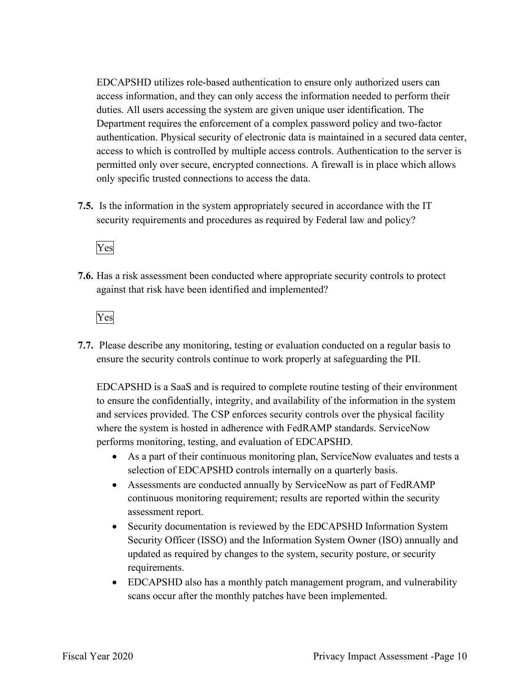EDCAPSHD utilizes role-based authentication to ensure only authorized users can access information, and they can only access the information needed to perform their duties. All users accessing the system are given unique user identification. The Department requires the enforcement of a complex password policy and two-factor authentication. Physical security of electronic data is maintained in a secured data center, access to which is controlled by multiple access controls. Authentication to the server is permitted only over secure, encrypted connections. A firewall is in place which allows only specific trusted connections to access the data.

 security requirements and procedures as required by Federal law and policy? **7.5.** Is the information in the system appropriately secured in accordance with the IT

Yes

**7.6.** Has a risk assessment been conducted where appropriate security controls to protect against that risk have been identified and implemented?

Yes

 ensure the security controls continue to work properly at safeguarding the PII. **7.7.** Please describe any monitoring, testing or evaluation conducted on a regular basis to

EDCAPSHD is a SaaS and is required to complete routine testing of their environment to ensure the confidentially, integrity, and availability of the information in the system and services provided. The CSP enforces security controls over the physical facility where the system is hosted in adherence with FedRAMP standards. ServiceNow performs monitoring, testing, and evaluation of EDCAPSHD.

- selection of EDCAPSHD controls internally on a quarterly basis. • As a part of their continuous monitoring plan, ServiceNow evaluates and tests a
- • Assessments are conducted annually by ServiceNow as part of FedRAMP continuous monitoring requirement; results are reported within the security assessment report.
- Security Officer (ISSO) and the Information System Owner (ISO) annually and • Security documentation is reviewed by the EDCAPSHD Information System updated as required by changes to the system, security posture, or security requirements.
- EDCAPSHD also has a monthly patch management program, and vulnerability scans occur after the monthly patches have been implemented.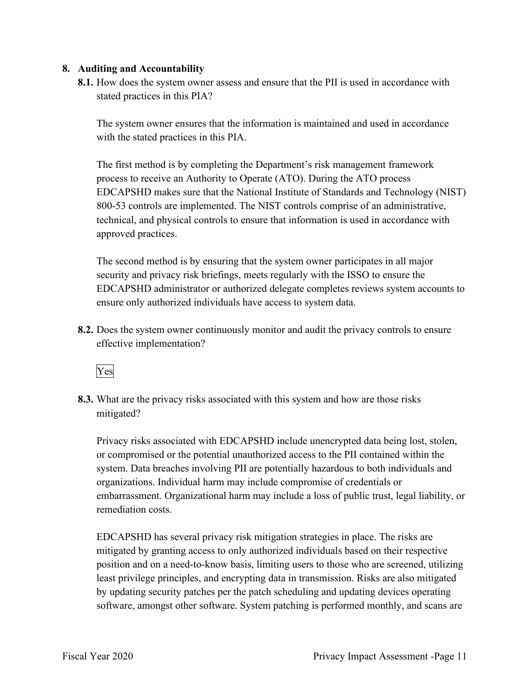#### **8. Auditing and Accountability**

 **8.1.** How does the system owner assess and ensure that the PII is used in accordance with stated practices in this PIA?

The system owner ensures that the information is maintained and used in accordance with the stated practices in this PIA.

The first method is by completing the Department's risk management framework process to receive an Authority to Operate (ATO). During the ATO process EDCAPSHD makes sure that the National Institute of Standards and Technology (NIST) 800-53 controls are implemented. The NIST controls comprise of an administrative, technical, and physical controls to ensure that information is used in accordance with approved practices.

 security and privacy risk briefings, meets regularly with the ISSO to ensure the The second method is by ensuring that the system owner participates in all major EDCAPSHD administrator or authorized delegate completes reviews system accounts to ensure only authorized individuals have access to system data.

**8.2.** Does the system owner continuously monitor and audit the privacy controls to ensure effective implementation?

Yes

 mitigated? **8.3.** What are the privacy risks associated with this system and how are those risks

Privacy risks associated with EDCAPSHD include unencrypted data being lost, stolen, or compromised or the potential unauthorized access to the PII contained within the system. Data breaches involving PII are potentially hazardous to both individuals and organizations. Individual harm may include compromise of credentials or embarrassment. Organizational harm may include a loss of public trust, legal liability, or remediation costs.

EDCAPSHD has several privacy risk mitigation strategies in place. The risks are mitigated by granting access to only authorized individuals based on their respective position and on a need-to-know basis, limiting users to those who are screened, utilizing least privilege principles, and encrypting data in transmission. Risks are also mitigated by updating security patches per the patch scheduling and updating devices operating software, amongst other software. System patching is performed monthly, and scans are